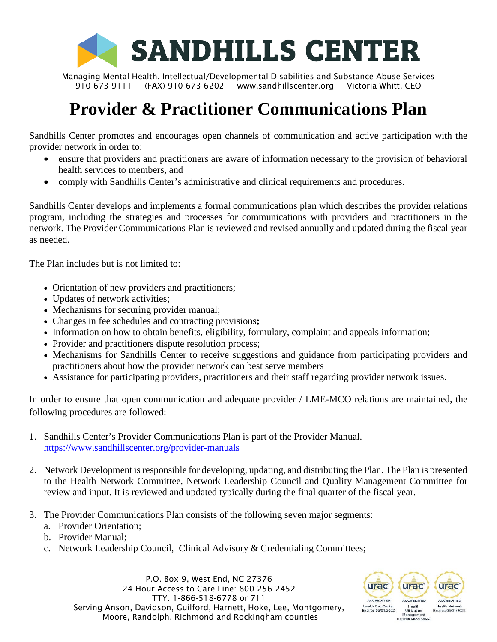

Managing Mental Health, Intellectual/Developmental Disabilities and Substance Abuse Services 910-673-9111 (FAX) 910-673-6202 [www.sandhillscenter.org](http://www.sandhillscenter.org/) Victoria Whitt, CEO

# **Provider & Practitioner Communications Plan**

Sandhills Center promotes and encourages open channels of communication and active participation with the provider network in order to:

- ensure that providers and practitioners are aware of information necessary to the provision of behavioral health services to members, and
- comply with Sandhills Center's administrative and clinical requirements and procedures.

Sandhills Center develops and implements a formal communications plan which describes the provider relations program, including the strategies and processes for communications with providers and practitioners in the network. The Provider Communications Plan is reviewed and revised annually and updated during the fiscal year as needed.

The Plan includes but is not limited to:

- Orientation of new providers and practitioners;
- Updates of network activities;
- Mechanisms for securing provider manual;
- Changes in fee schedules and contracting provisions**;**
- Information on how to obtain benefits, eligibility, formulary, complaint and appeals information;
- Provider and practitioners dispute resolution process;
- Mechanisms for Sandhills Center to receive suggestions and guidance from participating providers and practitioners about how the provider network can best serve members
- Assistance for participating providers, practitioners and their staff regarding provider network issues.

In order to ensure that open communication and adequate provider / LME-MCO relations are maintained, the following procedures are followed:

- 1. Sandhills Center's Provider Communications Plan is part of the Provider Manual. <https://www.sandhillscenter.org/provider-manuals>
- 2. Network Development is responsible for developing, updating, and distributing the Plan. The Plan is presented to the Health Network Committee, Network Leadership Council and Quality Management Committee for review and input. It is reviewed and updated typically during the final quarter of the fiscal year.
- 3. The Provider Communications Plan consists of the following seven major segments:
	- a. Provider Orientation;
	- b. Provider Manual;
	- c. Network Leadership Council, Clinical Advisory & Credentialing Committees;

P.O. Box 9, West End, NC 27376 24-Hour Access to Care Line: 800-256-2452 TTY: 1-866-518-6778 or 711 Serving Anson, Davidson, Guilford, Harnett, Hoke, Lee, Montgomery, Moore, Randolph, Richmond and Rockingham counties

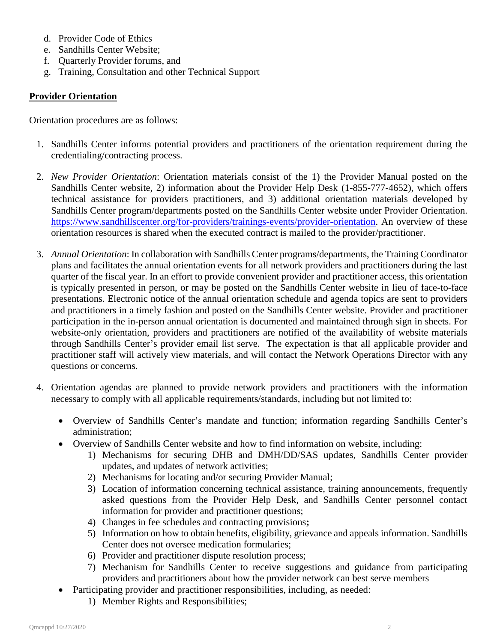- d. Provider Code of Ethics
- e. Sandhills Center Website;
- f. Quarterly Provider forums, and
- g. Training, Consultation and other Technical Support

# **Provider Orientation**

Orientation procedures are as follows:

- 1. Sandhills Center informs potential providers and practitioners of the orientation requirement during the credentialing/contracting process.
- 2. *New Provider Orientation*: Orientation materials consist of the 1) the Provider Manual posted on the Sandhills Center website, 2) information about the Provider Help Desk (1-855-777-4652), which offers technical assistance for providers practitioners, and 3) additional orientation materials developed by Sandhills Center program/departments posted on the Sandhills Center website under Provider Orientation. [https://www.sandhillscenter.org/for-providers/trainings-events/provider-orientation.](https://www.sandhillscenter.org/for-providers/trainings-events/provider-orientation) An overview of these orientation resources is shared when the executed contract is mailed to the provider/practitioner.
- 3. *Annual Orientation*: In collaboration with Sandhills Center programs/departments, the Training Coordinator plans and facilitates the annual orientation events for all network providers and practitioners during the last quarter of the fiscal year. In an effort to provide convenient provider and practitioner access, this orientation is typically presented in person, or may be posted on the Sandhills Center website in lieu of face-to-face presentations. Electronic notice of the annual orientation schedule and agenda topics are sent to providers and practitioners in a timely fashion and posted on the Sandhills Center website. Provider and practitioner participation in the in-person annual orientation is documented and maintained through sign in sheets. For website-only orientation, providers and practitioners are notified of the availability of website materials through Sandhills Center's provider email list serve. The expectation is that all applicable provider and practitioner staff will actively view materials, and will contact the Network Operations Director with any questions or concerns.
- 4. Orientation agendas are planned to provide network providers and practitioners with the information necessary to comply with all applicable requirements/standards, including but not limited to:
	- Overview of Sandhills Center's mandate and function; information regarding Sandhills Center's administration;
	- Overview of Sandhills Center website and how to find information on website, including:
		- 1) Mechanisms for securing DHB and DMH/DD/SAS updates, Sandhills Center provider updates, and updates of network activities;
		- 2) Mechanisms for locating and/or securing Provider Manual;
		- 3) Location of information concerning technical assistance, training announcements, frequently asked questions from the Provider Help Desk, and Sandhills Center personnel contact information for provider and practitioner questions;
		- 4) Changes in fee schedules and contracting provisions**;**
		- 5) Information on how to obtain benefits, eligibility, grievance and appeals information. Sandhills Center does not oversee medication formularies;
		- 6) Provider and practitioner dispute resolution process;
		- 7) Mechanism for Sandhills Center to receive suggestions and guidance from participating providers and practitioners about how the provider network can best serve members
	- Participating provider and practitioner responsibilities, including, as needed:
		- 1) Member Rights and Responsibilities;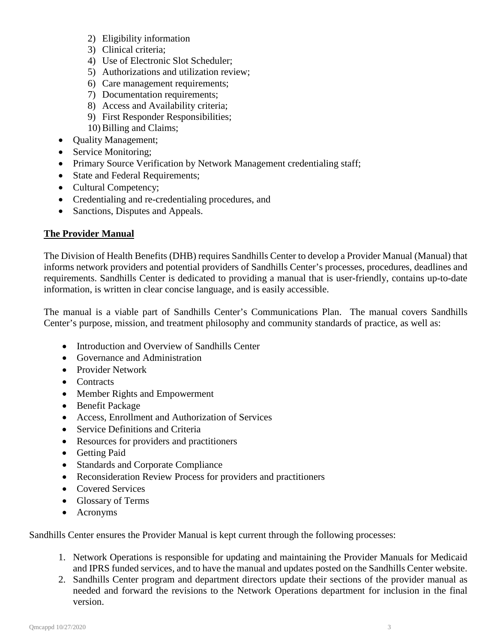- 2) Eligibility information
- 3) Clinical criteria;
- 4) Use of Electronic Slot Scheduler;
- 5) Authorizations and utilization review;
- 6) Care management requirements;
- 7) Documentation requirements;
- 8) Access and Availability criteria;
- 9) First Responder Responsibilities;
- 10) Billing and Claims;
- Ouality Management;
- Service Monitoring;
- Primary Source Verification by Network Management credentialing staff;
- State and Federal Requirements;
- Cultural Competency;
- Credentialing and re-credentialing procedures, and
- Sanctions, Disputes and Appeals.

## **The Provider Manual**

The Division of Health Benefits (DHB) requires Sandhills Center to develop a Provider Manual (Manual) that informs network providers and potential providers of Sandhills Center's processes, procedures, deadlines and requirements. Sandhills Center is dedicated to providing a manual that is user-friendly, contains up-to-date information, is written in clear concise language, and is easily accessible.

The manual is a viable part of Sandhills Center's Communications Plan. The manual covers Sandhills Center's purpose, mission, and treatment philosophy and community standards of practice, as well as:

- Introduction and Overview of Sandhills Center
- Governance and Administration
- Provider Network
- Contracts
- Member Rights and Empowerment
- Benefit Package
- Access, Enrollment and Authorization of Services
- Service Definitions and Criteria
- Resources for providers and practitioners
- Getting Paid
- Standards and Corporate Compliance
- Reconsideration Review Process for providers and practitioners
- Covered Services
- Glossary of Terms
- Acronyms

Sandhills Center ensures the Provider Manual is kept current through the following processes:

- 1. Network Operations is responsible for updating and maintaining the Provider Manuals for Medicaid and IPRS funded services, and to have the manual and updates posted on the Sandhills Center website.
- 2. Sandhills Center program and department directors update their sections of the provider manual as needed and forward the revisions to the Network Operations department for inclusion in the final version.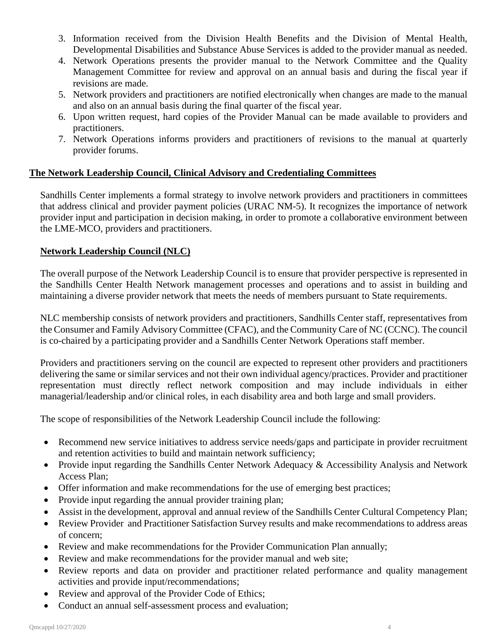- 3. Information received from the Division Health Benefits and the Division of Mental Health, Developmental Disabilities and Substance Abuse Services is added to the provider manual as needed.
- 4. Network Operations presents the provider manual to the Network Committee and the Quality Management Committee for review and approval on an annual basis and during the fiscal year if revisions are made.
- 5. Network providers and practitioners are notified electronically when changes are made to the manual and also on an annual basis during the final quarter of the fiscal year.
- 6. Upon written request, hard copies of the Provider Manual can be made available to providers and practitioners.
- 7. Network Operations informs providers and practitioners of revisions to the manual at quarterly provider forums.

## **The Network Leadership Council, Clinical Advisory and Credentialing Committees**

Sandhills Center implements a formal strategy to involve network providers and practitioners in committees that address clinical and provider payment policies (URAC NM-5). It recognizes the importance of network provider input and participation in decision making, in order to promote a collaborative environment between the LME-MCO, providers and practitioners.

## **Network Leadership Council (NLC)**

The overall purpose of the Network Leadership Council is to ensure that provider perspective is represented in the Sandhills Center Health Network management processes and operations and to assist in building and maintaining a diverse provider network that meets the needs of members pursuant to State requirements.

NLC membership consists of network providers and practitioners, Sandhills Center staff, representatives from the Consumer and Family Advisory Committee (CFAC), and the Community Care of NC (CCNC). The council is co-chaired by a participating provider and a Sandhills Center Network Operations staff member.

Providers and practitioners serving on the council are expected to represent other providers and practitioners delivering the same or similar services and not their own individual agency/practices. Provider and practitioner representation must directly reflect network composition and may include individuals in either managerial/leadership and/or clinical roles, in each disability area and both large and small providers.

The scope of responsibilities of the Network Leadership Council include the following:

- Recommend new service initiatives to address service needs/gaps and participate in provider recruitment and retention activities to build and maintain network sufficiency;
- Provide input regarding the Sandhills Center Network Adequacy & Accessibility Analysis and Network Access Plan;
- Offer information and make recommendations for the use of emerging best practices;
- Provide input regarding the annual provider training plan;
- Assist in the development, approval and annual review of the Sandhills Center Cultural Competency Plan;
- Review Provider and Practitioner Satisfaction Survey results and make recommendations to address areas of concern;
- Review and make recommendations for the Provider Communication Plan annually;
- Review and make recommendations for the provider manual and web site;
- Review reports and data on provider and practitioner related performance and quality management activities and provide input/recommendations;
- Review and approval of the Provider Code of Ethics;
- Conduct an annual self-assessment process and evaluation;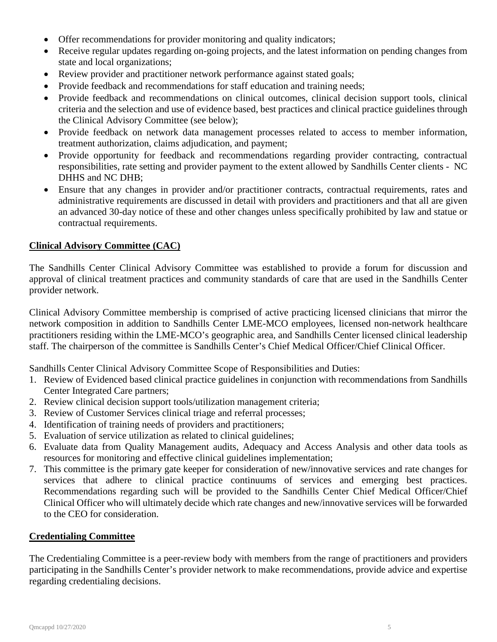- Offer recommendations for provider monitoring and quality indicators;
- Receive regular updates regarding on-going projects, and the latest information on pending changes from state and local organizations;
- Review provider and practitioner network performance against stated goals;
- Provide feedback and recommendations for staff education and training needs;
- Provide feedback and recommendations on clinical outcomes, clinical decision support tools, clinical criteria and the selection and use of evidence based, best practices and clinical practice guidelines through the Clinical Advisory Committee (see below);
- Provide feedback on network data management processes related to access to member information, treatment authorization, claims adjudication, and payment;
- Provide opportunity for feedback and recommendations regarding provider contracting, contractual responsibilities, rate setting and provider payment to the extent allowed by Sandhills Center clients - NC DHHS and NC DHB;
- Ensure that any changes in provider and/or practitioner contracts, contractual requirements, rates and administrative requirements are discussed in detail with providers and practitioners and that all are given an advanced 30-day notice of these and other changes unless specifically prohibited by law and statue or contractual requirements.

## **Clinical Advisory Committee (CAC)**

The Sandhills Center Clinical Advisory Committee was established to provide a forum for discussion and approval of clinical treatment practices and community standards of care that are used in the Sandhills Center provider network.

Clinical Advisory Committee membership is comprised of active practicing licensed clinicians that mirror the network composition in addition to Sandhills Center LME-MCO employees, licensed non-network healthcare practitioners residing within the LME-MCO's geographic area, and Sandhills Center licensed clinical leadership staff. The chairperson of the committee is Sandhills Center's Chief Medical Officer/Chief Clinical Officer.

Sandhills Center Clinical Advisory Committee Scope of Responsibilities and Duties:

- 1. Review of Evidenced based clinical practice guidelines in conjunction with recommendations from Sandhills Center Integrated Care partners;
- 2. Review clinical decision support tools/utilization management criteria;
- 3. Review of Customer Services clinical triage and referral processes;
- 4. Identification of training needs of providers and practitioners;
- 5. Evaluation of service utilization as related to clinical guidelines;
- 6. Evaluate data from Quality Management audits, Adequacy and Access Analysis and other data tools as resources for monitoring and effective clinical guidelines implementation;
- 7. This committee is the primary gate keeper for consideration of new/innovative services and rate changes for services that adhere to clinical practice continuums of services and emerging best practices. Recommendations regarding such will be provided to the Sandhills Center Chief Medical Officer/Chief Clinical Officer who will ultimately decide which rate changes and new/innovative services will be forwarded to the CEO for consideration.

#### **Credentialing Committee**

The Credentialing Committee is a peer-review body with members from the range of practitioners and providers participating in the Sandhills Center's provider network to make recommendations, provide advice and expertise regarding credentialing decisions.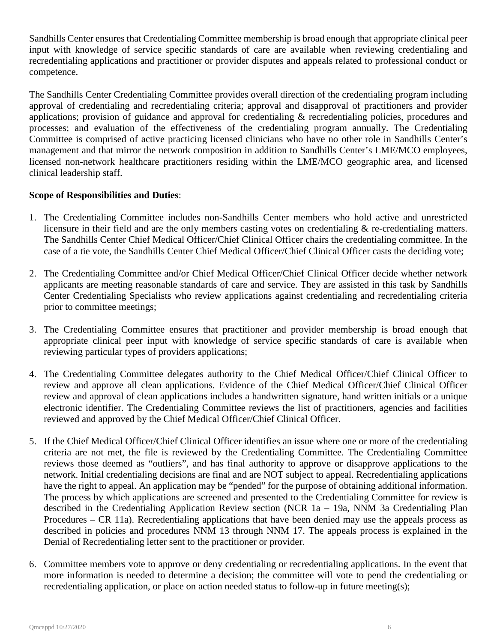Sandhills Center ensures that Credentialing Committee membership is broad enough that appropriate clinical peer input with knowledge of service specific standards of care are available when reviewing credentialing and recredentialing applications and practitioner or provider disputes and appeals related to professional conduct or competence.

The Sandhills Center Credentialing Committee provides overall direction of the credentialing program including approval of credentialing and recredentialing criteria; approval and disapproval of practitioners and provider applications; provision of guidance and approval for credentialing & recredentialing policies, procedures and processes; and evaluation of the effectiveness of the credentialing program annually. The Credentialing Committee is comprised of active practicing licensed clinicians who have no other role in Sandhills Center's management and that mirror the network composition in addition to Sandhills Center's LME/MCO employees, licensed non-network healthcare practitioners residing within the LME/MCO geographic area, and licensed clinical leadership staff.

## **Scope of Responsibilities and Duties**:

- 1. The Credentialing Committee includes non-Sandhills Center members who hold active and unrestricted licensure in their field and are the only members casting votes on credentialing & re-credentialing matters. The Sandhills Center Chief Medical Officer/Chief Clinical Officer chairs the credentialing committee. In the case of a tie vote, the Sandhills Center Chief Medical Officer/Chief Clinical Officer casts the deciding vote;
- 2. The Credentialing Committee and/or Chief Medical Officer/Chief Clinical Officer decide whether network applicants are meeting reasonable standards of care and service. They are assisted in this task by Sandhills Center Credentialing Specialists who review applications against credentialing and recredentialing criteria prior to committee meetings;
- 3. The Credentialing Committee ensures that practitioner and provider membership is broad enough that appropriate clinical peer input with knowledge of service specific standards of care is available when reviewing particular types of providers applications;
- 4. The Credentialing Committee delegates authority to the Chief Medical Officer/Chief Clinical Officer to review and approve all clean applications. Evidence of the Chief Medical Officer/Chief Clinical Officer review and approval of clean applications includes a handwritten signature, hand written initials or a unique electronic identifier. The Credentialing Committee reviews the list of practitioners, agencies and facilities reviewed and approved by the Chief Medical Officer/Chief Clinical Officer.
- 5. If the Chief Medical Officer/Chief Clinical Officer identifies an issue where one or more of the credentialing criteria are not met, the file is reviewed by the Credentialing Committee. The Credentialing Committee reviews those deemed as "outliers", and has final authority to approve or disapprove applications to the network. Initial credentialing decisions are final and are NOT subject to appeal. Recredentialing applications have the right to appeal. An application may be "pended" for the purpose of obtaining additional information. The process by which applications are screened and presented to the Credentialing Committee for review is described in the Credentialing Application Review section (NCR 1a – 19a, NNM 3a Credentialing Plan Procedures – CR 11a). Recredentialing applications that have been denied may use the appeals process as described in policies and procedures NNM 13 through NNM 17. The appeals process is explained in the Denial of Recredentialing letter sent to the practitioner or provider.
- 6. Committee members vote to approve or deny credentialing or recredentialing applications. In the event that more information is needed to determine a decision; the committee will vote to pend the credentialing or recredentialing application, or place on action needed status to follow-up in future meeting(s);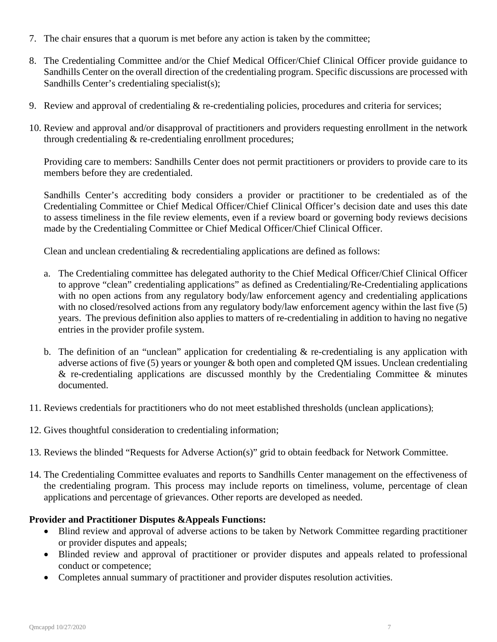- 7. The chair ensures that a quorum is met before any action is taken by the committee;
- 8. The Credentialing Committee and/or the Chief Medical Officer/Chief Clinical Officer provide guidance to Sandhills Center on the overall direction of the credentialing program. Specific discussions are processed with Sandhills Center's credentialing specialist(s);
- 9. Review and approval of credentialing & re-credentialing policies, procedures and criteria for services;
- 10. Review and approval and/or disapproval of practitioners and providers requesting enrollment in the network through credentialing & re-credentialing enrollment procedures;

Providing care to members: Sandhills Center does not permit practitioners or providers to provide care to its members before they are credentialed.

Sandhills Center's accrediting body considers a provider or practitioner to be credentialed as of the Credentialing Committee or Chief Medical Officer/Chief Clinical Officer's decision date and uses this date to assess timeliness in the file review elements, even if a review board or governing body reviews decisions made by the Credentialing Committee or Chief Medical Officer/Chief Clinical Officer.

Clean and unclean credentialing & recredentialing applications are defined as follows:

- a. The Credentialing committee has delegated authority to the Chief Medical Officer/Chief Clinical Officer to approve "clean" credentialing applications" as defined as Credentialing/Re-Credentialing applications with no open actions from any regulatory body/law enforcement agency and credentialing applications with no closed/resolved actions from any regulatory body/law enforcement agency within the last five (5) years. The previous definition also applies to matters of re-credentialing in addition to having no negative entries in the provider profile system.
- b. The definition of an "unclean" application for credentialing  $\&$  re-credentialing is any application with adverse actions of five (5) years or younger & both open and completed QM issues. Unclean credentialing  $\&$  re-credentialing applications are discussed monthly by the Credentialing Committee  $\&$  minutes documented.
- 11. Reviews credentials for practitioners who do not meet established thresholds (unclean applications);
- 12. Gives thoughtful consideration to credentialing information;
- 13. Reviews the blinded "Requests for Adverse Action(s)" grid to obtain feedback for Network Committee.
- 14. The Credentialing Committee evaluates and reports to Sandhills Center management on the effectiveness of the credentialing program. This process may include reports on timeliness, volume, percentage of clean applications and percentage of grievances. Other reports are developed as needed.

#### **Provider and Practitioner Disputes &Appeals Functions:**

- Blind review and approval of adverse actions to be taken by Network Committee regarding practitioner or provider disputes and appeals;
- Blinded review and approval of practitioner or provider disputes and appeals related to professional conduct or competence;
- Completes annual summary of practitioner and provider disputes resolution activities.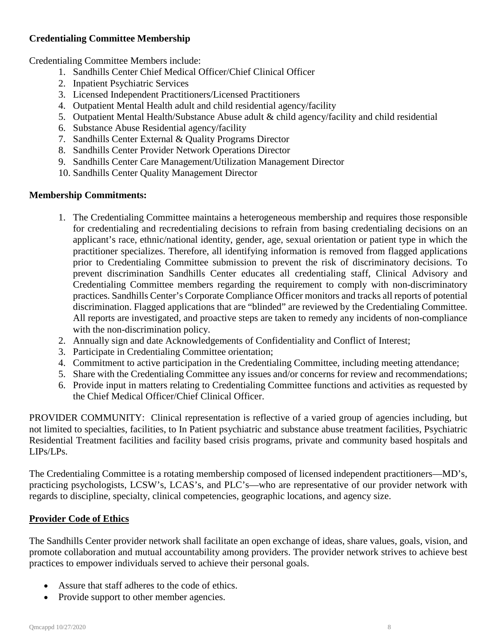# **Credentialing Committee Membership**

Credentialing Committee Members include:

- 1. Sandhills Center Chief Medical Officer/Chief Clinical Officer
- 2. Inpatient Psychiatric Services
- 3. Licensed Independent Practitioners/Licensed Practitioners
- 4. Outpatient Mental Health adult and child residential agency/facility
- 5. Outpatient Mental Health/Substance Abuse adult & child agency/facility and child residential
- 6. Substance Abuse Residential agency/facility
- 7. Sandhills Center External & Quality Programs Director
- 8. Sandhills Center Provider Network Operations Director
- 9. Sandhills Center Care Management/Utilization Management Director
- 10. Sandhills Center Quality Management Director

# **Membership Commitments:**

- 1. The Credentialing Committee maintains a heterogeneous membership and requires those responsible for credentialing and recredentialing decisions to refrain from basing credentialing decisions on an applicant's race, ethnic/national identity, gender, age, sexual orientation or patient type in which the practitioner specializes. Therefore, all identifying information is removed from flagged applications prior to Credentialing Committee submission to prevent the risk of discriminatory decisions. To prevent discrimination Sandhills Center educates all credentialing staff, Clinical Advisory and Credentialing Committee members regarding the requirement to comply with non-discriminatory practices. Sandhills Center's Corporate Compliance Officer monitors and tracks all reports of potential discrimination. Flagged applications that are "blinded" are reviewed by the Credentialing Committee. All reports are investigated, and proactive steps are taken to remedy any incidents of non-compliance with the non-discrimination policy.
- 2. Annually sign and date Acknowledgements of Confidentiality and Conflict of Interest;
- 3. Participate in Credentialing Committee orientation;
- 4. Commitment to active participation in the Credentialing Committee, including meeting attendance;
- 5. Share with the Credentialing Committee any issues and/or concerns for review and recommendations;
- 6. Provide input in matters relating to Credentialing Committee functions and activities as requested by the Chief Medical Officer/Chief Clinical Officer.

PROVIDER COMMUNITY: Clinical representation is reflective of a varied group of agencies including, but not limited to specialties, facilities, to In Patient psychiatric and substance abuse treatment facilities, Psychiatric Residential Treatment facilities and facility based crisis programs, private and community based hospitals and LIPs/LPs.

The Credentialing Committee is a rotating membership composed of licensed independent practitioners—MD's, practicing psychologists, LCSW's, LCAS's, and PLC's—who are representative of our provider network with regards to discipline, specialty, clinical competencies, geographic locations, and agency size.

# **Provider Code of Ethics**

The Sandhills Center provider network shall facilitate an open exchange of ideas, share values, goals, vision, and promote collaboration and mutual accountability among providers. The provider network strives to achieve best practices to empower individuals served to achieve their personal goals.

- Assure that staff adheres to the code of ethics.
- Provide support to other member agencies.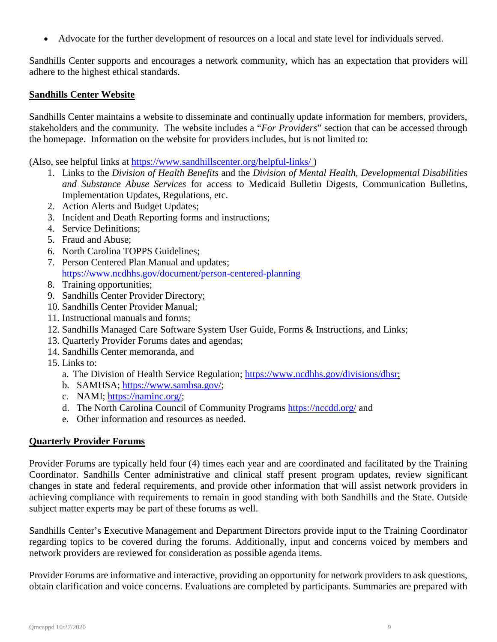• Advocate for the further development of resources on a local and state level for individuals served.

Sandhills Center supports and encourages a network community, which has an expectation that providers will adhere to the highest ethical standards.

## **Sandhills Center Website**

Sandhills Center maintains a website to disseminate and continually update information for members, providers, stakeholders and the community. The website includes a "*For Providers*" section that can be accessed through the homepage. Information on the website for providers includes, but is not limited to:

(Also, see helpful links at<https://www.sandhillscenter.org/helpful-links/> )

- 1. Links to the *Division of Health Benefits* and the *Division of Mental Health, Developmental Disabilities and Substance Abuse Services* for access to Medicaid Bulletin Digests, Communication Bulletins, Implementation Updates, Regulations, etc.
- 2. Action Alerts and Budget Updates;
- 3. Incident and Death Reporting forms and instructions;
- 4. Service Definitions;
- 5. Fraud and Abuse;
- 6. North Carolina TOPPS Guidelines;
- 7. Person Centered Plan Manual and updates; <https://www.ncdhhs.gov/document/person-centered-planning>
- 8. Training opportunities;
- 9. Sandhills Center Provider Directory;
- 10. Sandhills Center Provider Manual;
- 11. Instructional manuals and forms;
- 12. Sandhills Managed Care Software System User Guide, Forms & Instructions, and Links;
- 13. Quarterly Provider Forums dates and agendas;
- 14. Sandhills Center memoranda, and
- 15. Links to:
	- a. The Division of Health Service Regulation; [https://www.ncdhhs.gov/divisions/dhsr;](https://www.ncdhhs.gov/divisions/dhsr)
	- b. SAMHSA; [https://www.samhsa.gov/;](https://www.samhsa.gov/)
	- c. NAMI; [https://naminc.org/;](https://naminc.org/)
	- d. The North Carolina Council of Community Programs<https://nccdd.org/> and
	- e. Other information and resources as needed.

#### **Quarterly Provider Forums**

Provider Forums are typically held four (4) times each year and are coordinated and facilitated by the Training Coordinator. Sandhills Center administrative and clinical staff present program updates, review significant changes in state and federal requirements, and provide other information that will assist network providers in achieving compliance with requirements to remain in good standing with both Sandhills and the State. Outside subject matter experts may be part of these forums as well.

Sandhills Center's Executive Management and Department Directors provide input to the Training Coordinator regarding topics to be covered during the forums. Additionally, input and concerns voiced by members and network providers are reviewed for consideration as possible agenda items.

Provider Forums are informative and interactive, providing an opportunity for network providers to ask questions, obtain clarification and voice concerns. Evaluations are completed by participants. Summaries are prepared with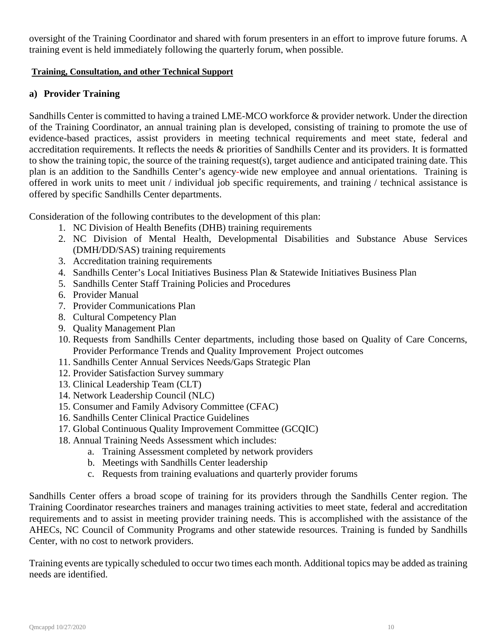oversight of the Training Coordinator and shared with forum presenters in an effort to improve future forums. A training event is held immediately following the quarterly forum, when possible.

#### **Training, Consultation, and other Technical Support**

## **a) Provider Training**

Sandhills Center is committed to having a trained LME-MCO workforce & provider network. Under the direction of the Training Coordinator, an annual training plan is developed, consisting of training to promote the use of evidence-based practices, assist providers in meeting technical requirements and meet state, federal and accreditation requirements. It reflects the needs & priorities of Sandhills Center and its providers. It is formatted to show the training topic, the source of the training request(s), target audience and anticipated training date. This plan is an addition to the Sandhills Center's agency-wide new employee and annual orientations. Training is offered in work units to meet unit / individual job specific requirements, and training / technical assistance is offered by specific Sandhills Center departments.

Consideration of the following contributes to the development of this plan:

- 1. NC Division of Health Benefits (DHB) training requirements
- 2. NC Division of Mental Health, Developmental Disabilities and Substance Abuse Services (DMH/DD/SAS) training requirements
- 3. Accreditation training requirements
- 4. Sandhills Center's Local Initiatives Business Plan & Statewide Initiatives Business Plan
- 5. Sandhills Center Staff Training Policies and Procedures
- 6. Provider Manual
- 7. Provider Communications Plan
- 8. Cultural Competency Plan
- 9. Quality Management Plan
- 10. Requests from Sandhills Center departments, including those based on Quality of Care Concerns, Provider Performance Trends and Quality Improvement Project outcomes
- 11. Sandhills Center Annual Services Needs/Gaps Strategic Plan
- 12. Provider Satisfaction Survey summary
- 13. Clinical Leadership Team (CLT)
- 14. Network Leadership Council (NLC)
- 15. Consumer and Family Advisory Committee (CFAC)
- 16. Sandhills Center Clinical Practice Guidelines
- 17. Global Continuous Quality Improvement Committee (GCQIC)
- 18. Annual Training Needs Assessment which includes:
	- a. Training Assessment completed by network providers
	- b. Meetings with Sandhills Center leadership
	- c. Requests from training evaluations and quarterly provider forums

Sandhills Center offers a broad scope of training for its providers through the Sandhills Center region. The Training Coordinator researches trainers and manages training activities to meet state, federal and accreditation requirements and to assist in meeting provider training needs. This is accomplished with the assistance of the AHECs, NC Council of Community Programs and other statewide resources. Training is funded by Sandhills Center, with no cost to network providers.

Training events are typically scheduled to occur two times each month. Additional topics may be added as training needs are identified.